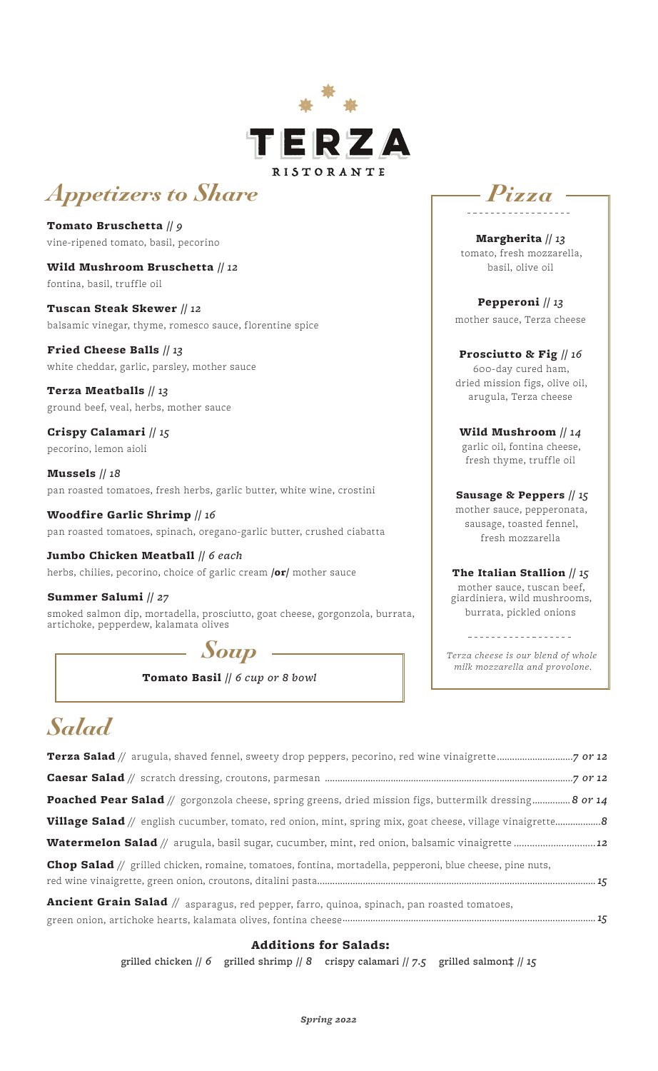

# *Appetizers to Share*

Tomato Bruschetta // *9*  vine-ripened tomato, basil, pecorino

Wild Mushroom Bruschetta // *12*  fontina, basil, truffle oil

Tuscan Steak Skewer // *12*  balsamic vinegar, thyme, romesco sauce, florentine spice

Fried Cheese Balls // *13* white cheddar, garlic, parsley, mother sauce

Terza Meatballs // *13* ground beef, veal, herbs, mother sauce

Crispy Calamari // *15* pecorino, lemon aioli

Mussels // *18* pan roasted tomatoes, fresh herbs, garlic butter, white wine, crostini

Woodfire Garlic Shrimp // *16* pan roasted tomatoes, spinach, oregano-garlic butter, crushed ciabatta

Jumbo Chicken Meatball // *6 each* herbs, chilies, pecorino, choice of garlic cream /or/ mother sauce

Summer Salumi // *27* smoked salmon dip, mortadella, prosciutto, goat cheese, gorgonzola, burrata, artichoke, pepperdew, kalamata olives

*Soup*

Tomato Basil // *6 cup or 8 bowl*



Margherita // *13* tomato, fresh mozzarella, basil, olive oil

Pepperoni // *13* mother sauce, Terza cheese

#### Prosciutto & Fig // *16* 600-day cured ham,

dried mission figs, olive oil, arugula, Terza cheese

Wild Mushroom // *14* garlic oil, fontina cheese, fresh thyme, truffle oil

 Sausage & Peppers // *15* mother sauce, pepperonata,

sausage, toasted fennel, fresh mozzarella

The Italian Stallion // *15* mother sauce, tuscan beef, giardiniera, wild mushrooms, burrata, pickled onions

*Terza cheese is our blend of whole milk mozzarella and provolone.*

------------------

## *Salad*

| <b>Poached Pear Salad</b> // gorgonzola cheese, spring greens, dried mission figs, buttermilk dressing 8 or 14   |
|------------------------------------------------------------------------------------------------------------------|
| <b>Village Salad</b> // english cucumber, tomato, red onion, mint, spring mix, goat cheese, village vinaigrette8 |
| <b>Watermelon Salad</b> // arugula, basil sugar, cucumber, mint, red onion, balsamic vinaigrette 2               |
| <b>Chop Salad</b> // grilled chicken, romaine, tomatoes, fontina, mortadella, pepperoni, blue cheese, pine nuts, |
| <b>Ancient Grain Salad</b> // asparagus, red pepper, farro, quinoa, spinach, pan roasted tomatoes,               |

. pepper, farro, quinoa, spinach, p green onion, artichoke hearts, kalamata olives, fontina cheese *....................................................................................................15*

### Additions for Salads:

grilled chicken // *6* grilled shrimp // *8* crispy calamari // *7.5* grilled salmon‡ // *15*